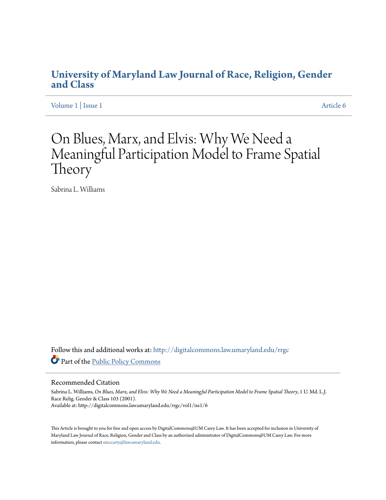## **[University of Maryland Law Journal of Race, Religion, Gender](http://digitalcommons.law.umaryland.edu/rrgc?utm_source=digitalcommons.law.umaryland.edu%2Frrgc%2Fvol1%2Fiss1%2F6&utm_medium=PDF&utm_campaign=PDFCoverPages) [and Class](http://digitalcommons.law.umaryland.edu/rrgc?utm_source=digitalcommons.law.umaryland.edu%2Frrgc%2Fvol1%2Fiss1%2F6&utm_medium=PDF&utm_campaign=PDFCoverPages)**

[Volume 1](http://digitalcommons.law.umaryland.edu/rrgc/vol1?utm_source=digitalcommons.law.umaryland.edu%2Frrgc%2Fvol1%2Fiss1%2F6&utm_medium=PDF&utm_campaign=PDFCoverPages) | [Issue 1](http://digitalcommons.law.umaryland.edu/rrgc/vol1/iss1?utm_source=digitalcommons.law.umaryland.edu%2Frrgc%2Fvol1%2Fiss1%2F6&utm_medium=PDF&utm_campaign=PDFCoverPages) [Article 6](http://digitalcommons.law.umaryland.edu/rrgc/vol1/iss1/6?utm_source=digitalcommons.law.umaryland.edu%2Frrgc%2Fvol1%2Fiss1%2F6&utm_medium=PDF&utm_campaign=PDFCoverPages)

# On Blues, Marx, and Elvis: Why We Need a Meaningful Participation Model to Frame Spatial Theory

Sabrina L. Williams

Follow this and additional works at: [http://digitalcommons.law.umaryland.edu/rrgc](http://digitalcommons.law.umaryland.edu/rrgc?utm_source=digitalcommons.law.umaryland.edu%2Frrgc%2Fvol1%2Fiss1%2F6&utm_medium=PDF&utm_campaign=PDFCoverPages) Part of the [Public Policy Commons](http://network.bepress.com/hgg/discipline/400?utm_source=digitalcommons.law.umaryland.edu%2Frrgc%2Fvol1%2Fiss1%2F6&utm_medium=PDF&utm_campaign=PDFCoverPages)

#### Recommended Citation

Sabrina L. Williams, *On Blues, Marx, and Elvis: Why We Need a Meaningful Participation Model to Frame Spatial Theory*, 1 U. Md. L.J. Race Relig. Gender & Class 103 (2001). Available at: http://digitalcommons.law.umaryland.edu/rrgc/vol1/iss1/6

This Article is brought to you for free and open access by DigitalCommons@UM Carey Law. It has been accepted for inclusion in University of Maryland Law Journal of Race, Religion, Gender and Class by an authorized administrator of DigitalCommons@UM Carey Law. For more information, please contact [smccarty@law.umaryland.edu.](mailto:smccarty@law.umaryland.edu)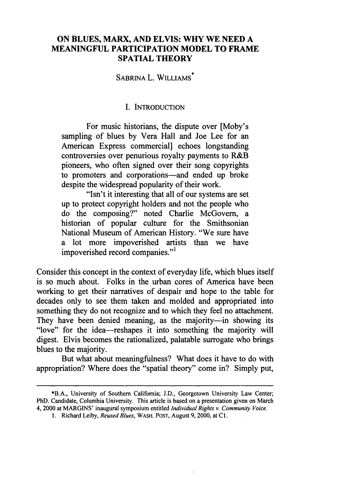#### **ON BLUES, MARX, AND ELVIS: WHY WE NEED A MEANINGFUL PARTICIPATION MODEL TO FRAME SPATIAL THEORY**

### **SABRINA** L. WILLIAMS.

#### **I. INTRODUCTION**

For music historians, the dispute over [Moby's sampling of blues **by** Vera Hall and Joe Lee for an American Express commercial] echoes longstanding controversies over penurious royalty payments to R&B pioneers, who often signed over their song copyrights to promoters and corporations-and ended up broke despite the widespread popularity of their work.

"Isn't it interesting that all of our systems are set up to protect copyright holders and not the people who do the composing?" noted Charlie McGovern, a historian of popular culture for the Smithsonian National Museum of American History. "We sure have a lot more impoverished artists than we have impoverished record companies."'

Consider this concept in the context of everyday life, which blues itself is so much about. Folks in the urban cores of America have been working to get their narratives of despair and hope to the table for decades only to see them taken and molded and appropriated into something they do not recognize and to which they feel no attachment. They have been denied meaning, as the majority-in showing its "love" for the idea-reshapes it into something the majority will digest. Elvis becomes the rationalized, palatable surrogate who brings blues to the majority.

But what about meaningfulness? What does it have to do with appropriation? Where does the "spatial theory" come in? Simply put,

<sup>\*</sup>B.A., University of Southern California; J.D., Georgetown University Law Center; PhD. Candidate, Columbia University. This article is based on a presentation given on March 4, 2000 at MARGINS' inaugural symposium entitled *Individual* Rights *v. Community Voice.*

**<sup>1.</sup>** Richard Leiby, Reused Blues, WASH. POST, August 9, 2000, at C1.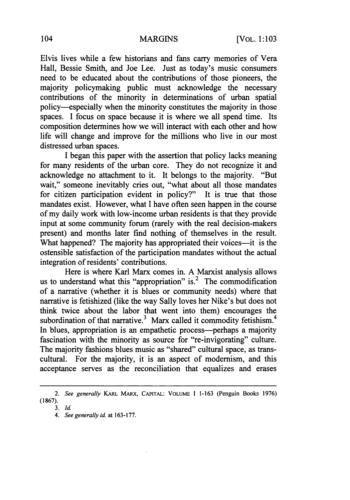Elvis lives while a few historians and fans carry memories of Vera Hall, Bessie Smith, and Joe Lee. Just as today's music consumers need to be educated about the contributions of those pioneers, the majority policymaking public must acknowledge the necessary contributions of the minority in determinations of urban spatial policy--especially when the minority constitutes the majority in those spaces. I focus on space because it is where we all spend time. Its composition determines how we will interact with each other and how life will change and improve for the millions who live in our most distressed urban spaces.

I began this paper with the assertion that policy lacks meaning for many residents of the urban core. They do not recognize it and acknowledge no attachment to it. It belongs to the majority. "But wait," someone inevitably cries out, "what about all those mandates for citizen participation evident in policy?" It is true that those mandates exist. However, what I have often seen happen in the course of my daily work with low-income urban residents is that they provide input at some community forum (rarely with the real decision-makers present) and months later find nothing of themselves in the result. What happened? The majority has appropriated their voices---it is the ostensible satisfaction of the participation mandates without the actual integration of residents' contributions.

Here is where Karl Marx comes in. A Marxist analysis allows us to understand what this "appropriation" is.<sup>2</sup> The commodification of a narrative (whether it is blues or community needs) where that narrative is fetishized (like the way Sally loves her Nike's but does not think twice about the labor that went into them) encourages the subordination of that narrative.<sup>3</sup> Marx called it commodity fetishism.<sup>4</sup> In blues, appropriation is an empathetic process---perhaps a majority fascination with the minority as source for "re-invigorating" culture. The majority fashions blues music as "shared" cultural space, as transcultural. For the majority, it is an aspect of modernism, and this acceptance serves as the reconciliation that equalizes and erases

*<sup>2.</sup> See generally* KARL MARX, **CAPITAL: VOLUME I 1-163** (Penguin Books 1976) **(1867).**

*<sup>3.</sup> Id.*

*<sup>4.</sup> See generally id.* at **163-177.**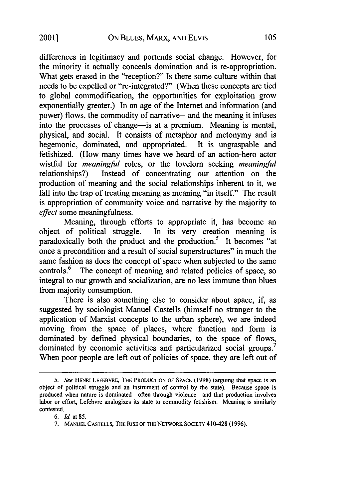differences in legitimacy and portends social change. However, for the minority it actually conceals domination and is re-appropriation. What gets erased in the "reception?" Is there some culture within that needs to be expelled or "re-integrated?" (When these concepts are tied to global commodification, the opportunities for exploitation grow exponentially greater.) In an age of the Internet and information (and power) flows, the commodity of narrative-and the meaning it infuses into the processes of change—is at a premium. Meaning is mental, physical, and social. It consists of metaphor and metonymy and is hegemonic, dominated, and appropriated. It is ungraspable and fetishized. (How many times have we heard of an action-hero actor wistful for *meaningful* roles, or the lovelorn seeking *meaningful* relationships?) Instead of concentrating our attention on the production of meaning and the social relationships inherent to it, we fall into the trap of treating meaning as meaning "in itself." The result is appropriation of community voice and narrative by the majority to *effect* some meaningfulness.

Meaning, through efforts to appropriate it, has become an object of political struggle. In its very creation meaning is paradoxically both the product and the production.<sup>5</sup> It becomes "at once a precondition and a result of social superstructures" in much the same fashion as does the concept of space when subjected to the same controls.<sup>6</sup> The concept of meaning and related policies of space, so integral to our growth and socialization, are no less immune than blues from majority consumption.

There is also something else to consider about space, if, as suggested by sociologist Manuel Castells (himself no stranger to the application of Marxist concepts to the urban sphere), we are indeed moving from the space of places, where function and form is dominated by defined physical boundaries, to the space of flows, dominated by economic activities and particularized social groups.<sup>7</sup> When poor people are left out of policies of space, they are left out of

<sup>5.</sup> *See* HENRI LEFEBVRE, THE PRODUCTION OF SPACE (1998) (arguing that space is an object of political struggle and an instrument of control by the state). Because space is produced when nature is dominated--often through violence-and that production involves labor or effort, Lefebvre analogizes its state to commodity fetishism. Meaning is similarly contested.

<sup>6.</sup> *Id.* at 85.

<sup>7.</sup> MANUEL CASTELLS, THE RISE OF THE NETWORK **SOCIETY** 410-428 (1996).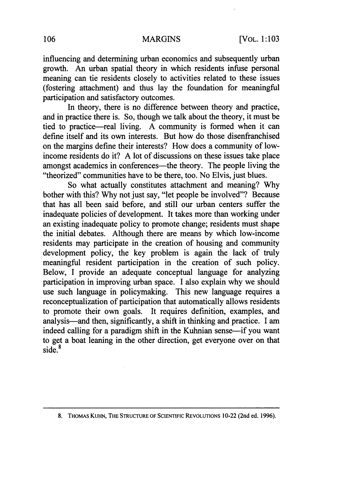influencing and determining urban economics and subsequently urban growth. An urban spatial theory in which residents infuse personal meaning can tie residents closely to activities related to these issues (fostering attachment) and thus lay the foundation for meaningful participation and satisfactory outcomes.

In theory, there is no difference between theory and practice, and in practice there is. So, though we talk about the theory, it must be tied to practice-real living. A community is formed when it can define itself and its own interests. But how do those disenfranchised on the margins define their interests? How does a community of lowincome residents do it? A lot of discussions on these issues take place amongst academics in conferences—the theory. The people living the "theorized" communities have to be there, too. No Elvis, just blues.

So what actually constitutes attachment and meaning? Why bother with this? Why not just say, "let people be involved"? Because that has all been said before, and still our urban centers suffer the inadequate policies of development. It takes more than working under an existing inadequate policy to promote change; residents must shape the initial debates. Although there are means by which low-income residents may participate in the creation of housing and community development policy, the key problem is again the lack of truly meaningful resident participation in the creation of such policy. Below, I provide an adequate conceptual language for analyzing participation in improving urban space. I also explain why we should use such language in policymaking. This new language requires a reconceptualization of participation that automatically allows residents to promote their own goals. It requires definition, examples, and analysis-and then, significantly, a shift in thinking and practice. I am indeed calling for a paradigm shift in the Kuhnian sense—if you want to get a boat leaning in the other direction, get everyone over on that side.<sup>8</sup>

**<sup>8.</sup>** THOMAS KUHN, THE STRUCTURE OF SCIENTIFIC REVOLUTIONS 10-22 (2nd ed. 1996).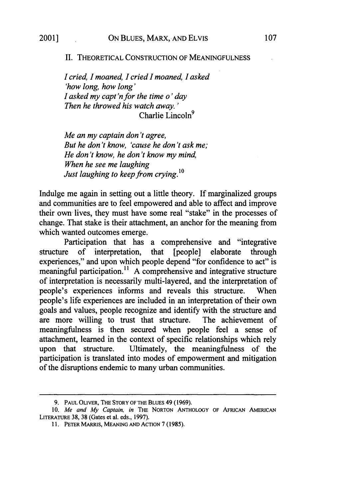#### II. THEORETICAL CONSTRUCTION OF MEANINGFULNESS

*I cried, I moaned, I cried I moaned, I asked 'how long, how long' I asked my capt'nfor the time o' day Then he throwed his watch away. '* Charlie Lincoln $<sup>9</sup>$ </sup>

*Me an my captain don't agree, But he don't know, 'cause he don't ask me; He don't know, he don't know my mind, When he see me laughing Just laughing to keep from crying.'*

Indulge me again in setting out a little theory. If marginalized groups and communities are to feel empowered and able to affect and improve their own lives, they must have some real "stake" in the processes of change. That stake is their attachment, an anchor for the meaning from which wanted outcomes emerge.

Participation that has a comprehensive and "integrative structure of interpretation, that [people] elaborate through experiences," and upon which people depend "for confidence to act" is meaningful participation.<sup>11</sup> A comprehensive and integrative structure of interpretation is necessarily multi-layered, and the interpretation of people's experiences informs and reveals this structure. When people's life experiences are included in an interpretation of their own goals and values, people recognize and identify with the structure and are more willing to trust that structure. The achievement of meaningfulness is then secured when people feel a sense of attachment, learned in the context of specific relationships which rely upon that structure. Ultimately, the meaningfulness of the participation is translated into modes of empowerment and mitigation of the disruptions endemic to many urban communities.

<sup>9.</sup> PAUL OLIVER, THE STORY OF THE BLUES 49 (1969).

<sup>10.</sup> *Me* and My Captain, in THE NORTON ANTHOLOGY OF AFRICAN AMERICAN LITERATURE 38, **38** (Gates et al. eds., 1997).

<sup>11.</sup> PETER MARRIS, MEANING AND ACTION 7 (1985).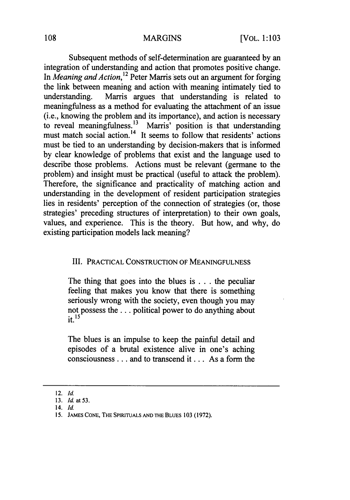Subsequent methods of self-determination are guaranteed by an integration of understanding and action that promotes positive change. In *Meaning and Action*, <sup>12</sup> Peter Marris sets out an argument for forging the link between meaning and action with meaning intimately tied to understanding. Marris argues that understanding is related to meaningfulness as a method for evaluating the attachment of an issue (i.e., knowing the problem and its importance), and action is necessary to reveal meaningfulness.<sup>13</sup> Marris' position is that understanding must match social action.<sup>14</sup> It seems to follow that residents' actions must be tied to an understanding by decision-makers that is informed by clear knowledge of problems that exist and the language used to describe those problems. Actions must be relevant (germane to the problem) and insight must be practical (useful to attack the problem). Therefore, the significance and practicality of matching action and understanding in the development of resident participation strategies lies in residents' perception of the connection of strategies (or, those strategies' preceding structures of interpretation) to their own goals, values, and experience. This is the theory. But how, and why, do existing participation models lack meaning?

#### III. PRACTICAL CONSTRUCTION OF MEANINGFULNESS

The thing that goes into the blues is **. .** . the peculiar feeling that makes you know that there is something seriously wrong with the society, even though you may not possess the.., political power to do anything about **it. 15**

The blues is an impulse to keep the painful detail and episodes of a brutal existence alive in one's aching consciousness **...** and to transcend it... As a form the

<sup>12.</sup> **Id.**

<sup>13.</sup> *Id.* at 53.

<sup>14.</sup> Id.

<sup>15.</sup> JAMES CONE, THE SPIRITUALS AND THE BLUES 103 (1972).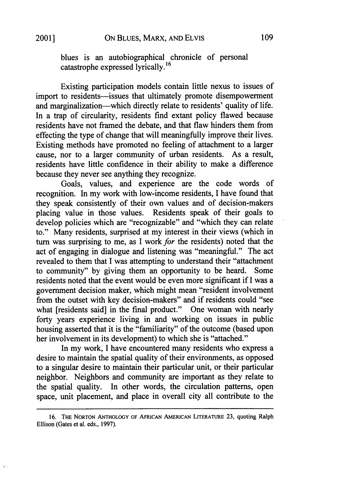$\epsilon^{\perp}$ 

blues is an autobiographical chronicle of personal catastrophe expressed lyrically.<sup>16</sup>

Existing participation models contain little nexus to issues of import to residents-issues that ultimately promote disempowerment and marginalization-which directly relate to residents' quality of life. In a trap of circularity, residents find extant policy flawed because residents have not framed the debate, and that flaw hinders them from effecting the type of change that will meaningfully improve their lives. Existing methods have promoted no feeling of attachment to a larger cause, nor to a larger community of urban residents. As a result, residents have little confidence in their ability to make a difference because they never see anything they recognize.

Goals, values, and experience are the code words of recognition. In my work with low-income residents, I have found that they speak consistently of their own values and of decision-makers placing value in those values. Residents speak of their goals to develop policies which are "recognizable" and "which they can relate to." Many residents, surprised at my interest in their views (which in turn was surprising to me, as I work for the residents) noted that the act of engaging in dialogue and listening was "meaningful." The act revealed to them that I was attempting to understand their "attachment to community" by giving them an opportunity to be heard. Some residents noted that the event would be even more significant if I was a government decision maker, which might mean "resident involvement from the outset with key decision-makers" and if residents could "see what [residents said] in the final product." One woman with nearly forty years experience living in and working on issues in public housing asserted that it is the "familiarity" of the outcome (based upon her involvement in its development) to which she is "attached."

In my work, I have encountered many residents who express a desire to maintain the spatial quality of their environments, as opposed to a singular desire to maintain their particular unit, or their particular neighbor. Neighbors and community are important as they relate to the spatial quality. In other words, the circulation patterns, open space, unit placement, and place in overall city all contribute to the

<sup>16.</sup> **THE** NORTON **ANTHOLOGY** OF AFRICAN **AMERICAN** LITERATURE 23, quoting Ralph Ellison (Gates et al. eds., 1997).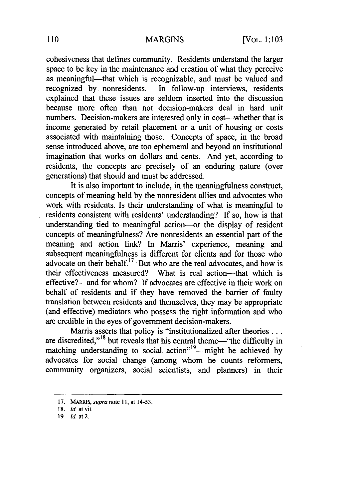cohesiveness that defines community. Residents understand the larger space to be key in the maintenance and creation of what they perceive as meaningful—that which is recognizable, and must be valued and recognized by nonresidents. In follow-up interviews, residents explained that these issues are seldom inserted into the discussion because more often than not decision-makers deal in hard unit numbers. Decision-makers are interested only in cost—whether that is income generated by retail placement or a unit of housing or costs associated with maintaining those. Concepts of space, in the broad sense introduced above, are too ephemeral and beyond an institutional imagination that works on dollars and cents. And yet, according to residents, the concepts are precisely of an enduring nature (over generations) that should and must be addressed.

It is also important to include, in the meaningfulness construct, concepts of meaning held by the nonresident allies and advocates who work with residents. Is their understanding of what is meaningful to residents consistent with residents' understanding? If so, how is that understanding tied to meaningful action-or the display of resident concepts of meaningfulness? Are nonresidents an essential part of the meaning and action link? In Marris' experience, meaning and subsequent meaningfulness is different for clients and for those who advocate on their behalf.<sup>17</sup> But who are the real advocates, and how is their effectiveness measured? What is real action-that which is effective?—and for whom? If advocates are effective in their work on behalf of residents and if they have removed the barrier of faulty translation between residents and themselves, they may be appropriate (and effective) mediators who possess the right information and who are credible in the eyes of government decision-makers.

Marris asserts that policy is "institutionalized after theories... are discredited,"<sup>18</sup> but reveals that his central theme-"the difficulty in matching understanding to social action<sup> $n^{19}$ </sup> -might be achieved by advocates for social change (among whom he counts reformers, community organizers, social scientists, and planners) in their

<sup>17.</sup> MARRS, *supra* note 11, at 14-53.

<sup>18.</sup> Id. at vii.

<sup>19.</sup> *Id.* at 2.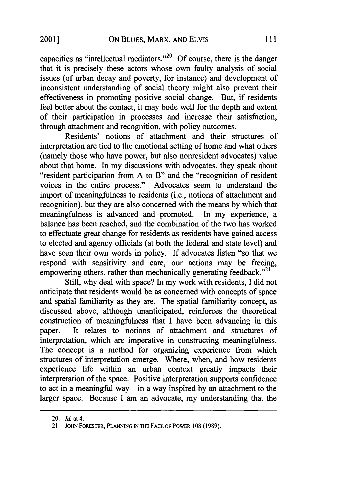capacities as "intellectual mediators."<sup>20</sup> Of course, there is the danger that it is precisely these actors whose own faulty analysis of social issues (of urban decay and poverty, for instance) and development of inconsistent understanding of social theory might also prevent their effectiveness in promoting positive social change. But, if residents feel better about the contact, it may bode well for the depth and extent of their participation in processes and increase their satisfaction, through attachment and recognition, with policy outcomes.

Residents' notions of attachment and their structures of interpretation are tied to the emotional setting of home and what others (namely those who have power, but also nonresident advocates) value about that home. In my discussions with advocates, they speak about "resident participation from A to B" and the "recognition of resident voices in the entire process." Advocates seem to understand the import of meaningfulness to residents (i.e., notions of attachment and recognition), but they are also concerned with the means by which that meaningfulness is advanced and promoted. In my experience, a balance has been reached, and the combination of the two has worked to effectuate great change for residents as residents have gained access to elected and agency officials (at both the federal and state level) and have seen their own words in policy. If advocates listen "so that we respond with sensitivity and care, our actions may be freeing, empowering others, rather than mechanically generating feedback."<sup>21</sup>

Still, why deal with space? In my work with residents, I did not anticipate that residents would be as concerned with concepts of space and spatial familiarity as they are. The spatial familiarity concept, as discussed above, although unanticipated, reinforces the theoretical construction of meaningfulness that I have been advancing in this paper. It relates to notions of attachment and structures of interpretation, which are imperative in constructing meaningfulness. The concept is a method for organizing experience from which structures of interpretation emerge. Where, when, and how residents experience life within an urban context greatly impacts their interpretation of the space. Positive interpretation supports confidence to act in a meaningful way—in a way inspired by an attachment to the larger space. Because I am an advocate, my understanding that the

<sup>20.</sup> *Id.* at 4.

<sup>21.</sup> JOHN FORESTER, **PLANNING IN** THE FACE OF POWER 108 (1989).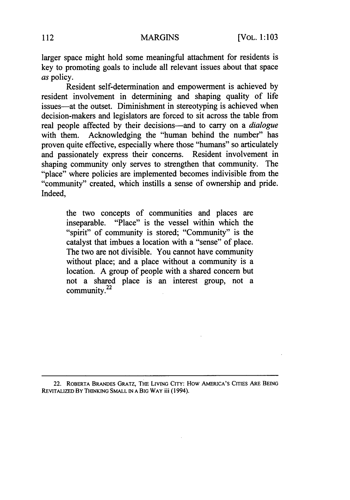larger space might hold some meaningful attachment for residents is key to promoting goals to include all relevant issues about that space *as* policy.

Resident self-determination and empowerment is achieved by resident involvement in determining and shaping quality of life issues—at the outset. Diminishment in stereotyping is achieved when decision-makers and legislators are forced to sit across the table from real people affected by their decisions-and to carry on a *dialogue* with them. Acknowledging the "human behind the number" has proven quite effective, especially where those "humans" so articulately and passionately express their concerns. Resident involvement in shaping community only serves to strengthen that community. The "place" where policies are implemented becomes indivisible from the "community" created, which instills a sense of ownership and pride. Indeed,

> the two concepts of communities and places are inseparable. "Place" is the vessel within which the "spirit" of community is stored; "Community" is the catalyst that imbues a location with a "sense" of place. The two are not divisible. You cannot have community without place; and a place without a community is a location. A group of people with a shared concern but not a shared place is an interest group, not a community. $22$

**22.** ROBERTA BRANDES GRATZ, THE LIVING CITY: How AMERICA'S **CITIES** ARE BEING REVITALIZED BY **THINKING SMALL IN A** BIG WAY iii (1994).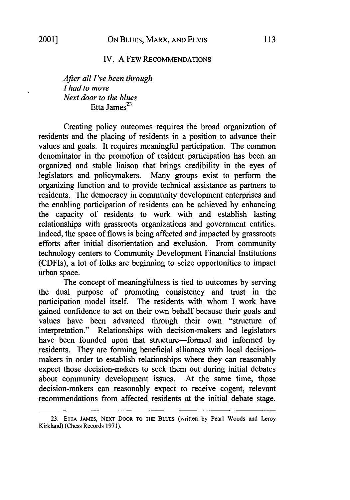#### IV. A FEW RECOMMENDATIONS

*After all I've been through I had to move Next door to the blues* Etta James $^{23}$ 

Creating policy outcomes requires the broad organization of residents and the placing of residents in a position to advance their values and goals. It requires meaningful participation. The common denominator in the promotion of resident participation has been an organized and stable liaison that brings credibility in the eyes of legislators and policymakers. Many groups exist to perform the organizing function and to provide technical assistance as partners to residents. The democracy in community development enterprises and the enabling participation of residents can be achieved by enhancing the capacity of residents to work with and establish lasting relationships with grassroots organizations and government entities. Indeed, the space of flows is being affected and impacted by grassroots efforts after initial disorientation and exclusion. From community technology centers to Community Development Financial Institutions (CDFIs), a lot of folks are beginning to seize opportunities to impact urban space.

The concept of meaningfulness is tied to outcomes by serving the dual purpose of promoting consistency and trust in the participation model itself. The residents with whom I work have gained confidence to act on their own behalf because their goals and values have been advanced through their own "structure of interpretation." Relationships with decision-makers and legislators have been founded upon that structure-formed and informed by residents. They are forming beneficial alliances with local decisionmakers in order to establish relationships where they can reasonably expect those decision-makers to seek them out during initial debates about community development issues. At the same time, those decision-makers can reasonably expect to receive cogent, relevant recommendations from affected residents at the initial debate stage.

<sup>23.</sup> ETTA JAMES, NEXT DOOR TO THE BLUES (written by Pearl Woods and Leroy Kirkland) (Chess Records 1971).